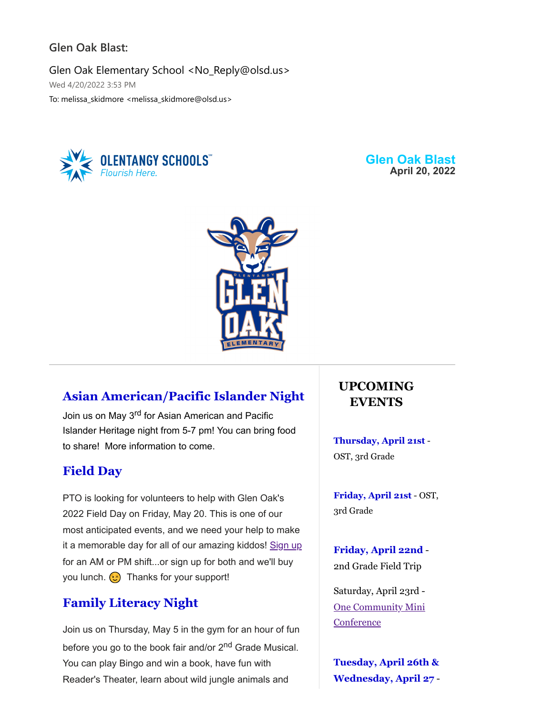#### **Glen Oak Blast:**

Glen Oak Elementary School <No\_Reply@olsd.us> Wed 4/20/2022 3:53 PM To: melissa\_skidmore <melissa\_skidmore@olsd.us>



**Glen Oak Blast April 20, 2022**



## **Asian American/Pacific Islander Night**

Join us on May 3<sup>rd</sup> for Asian American and Pacific Islander Heritage night from 5-7 pm! You can bring food to share! More information to come.

#### **Field Day**

PTO is looking for volunteers to help with Glen Oak's 2022 Field Day on Friday, May 20. This is one of our most anticipated events, and we need your help to make it a memorable day for all of our amazing kiddos! [Sign up](https://www.signupgenius.com/go/4090a4bafaa22a6fb6-20221) for an AM or PM shift...or sign up for both and we'll buy you lunch.  $\odot$  Thanks for your support!

## **Family Literacy Night**

Join us on Thursday, May 5 in the gym for an hour of fun before you go to the book fair and/or 2<sup>nd</sup> Grade Musical. You can play Bingo and win a book, have fun with Reader's Theater, learn about wild jungle animals and

## **UPCOMING EVENTS**

**Thursday, April 21st** - OST, 3rd Grade

**Friday, April 21st** - OST, 3rd Grade

**Friday, April 22nd** - 2nd Grade Field Trip

Saturday, April 23rd - [One Community Mini](https://docs.google.com/forms/d/e/1FAIpQLSf31jCFVZG3pcJPd1DpqABIcvt3tmTdqhHjOXeeRLCLLstLyQ/viewform) **Conference** 

**Tuesday, April 26th & Wednesday, April 27** -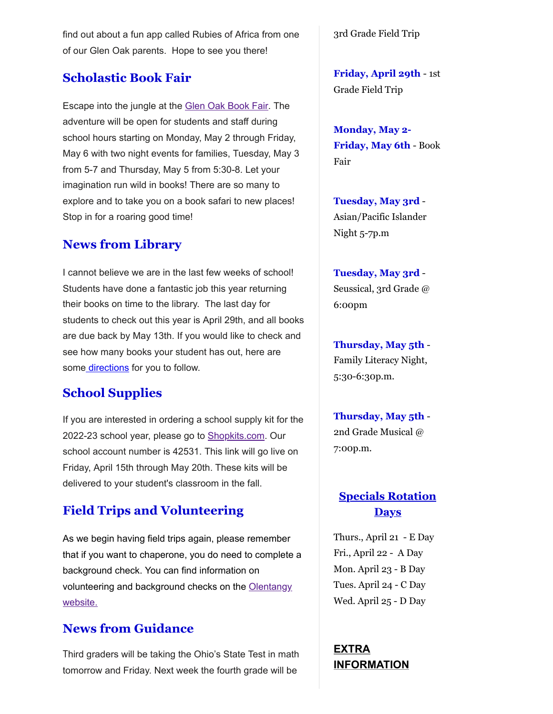find out about a fun app called Rubies of Africa from one of our Glen Oak parents. Hope to see you there!

## **Scholastic Book Fair**

Escape into the jungle at the [Glen Oak Book Fair.](https://bookfairs.scholastic.com/bookfairs/cptoolkit/homepage.do?method=homepage&url=glenoakelementaryschool) The adventure will be open for students and staff during school hours starting on Monday, May 2 through Friday, May 6 with two night events for families, Tuesday, May 3 from 5-7 and Thursday, May 5 from 5:30-8. Let your imagination run wild in books! There are so many to explore and to take you on a book safari to new places! Stop in for a roaring good time!

# **News from Library**

I cannot believe we are in the last few weeks of school! Students have done a fantastic job this year returning their books on time to the library. The last day for students to check out this year is April 29th, and all books are due back by May 13th. If you would like to check and see how many books your student has out, here are som[e directions](https://docs.google.com/document/d/1PuFnz6YioN28i0K6JD8RPzIhImjQA3XNaWe2VbNlwO8/edit?usp=sharing) for you to follow.

# **School Supplies**

If you are interested in ordering a school supply kit for the 2022-23 school year, please go to [Shopkits.com](https://www.shopttkits.com/). Our school account number is 42531. This link will go live on Friday, April 15th through May 20th. These kits will be delivered to your student's classroom in the fall.

# **Field Trips and Volunteering**

As we begin having field trips again, please remember that if you want to chaperone, you do need to complete a background check. You can find information on [volunteering and background checks on the Olentangy](https://www.olentangy.k12.oh.us/parents-resources/volunteer-information) website.

# **News from Guidance**

Third graders will be taking the Ohio's State Test in math tomorrow and Friday. Next week the fourth grade will be

3rd Grade Field Trip

**Friday, April 29th** - 1st Grade Field Trip

**Monday, May 2- Friday, May 6th** - Book Fair

**Tuesday, May 3rd** - Asian/Pacific Islander Night 5-7p.m

**Tuesday, May 3rd** - Seussical, 3rd Grade @ 6:00pm

**Thursday, May 5th** - Family Literacy Night, 5:30-6:30p.m.

**Thursday, May 5th** - 2nd Grade Musical @ 7:00p.m.

## **Specials Rotation Days**

Thurs., April 21 - E Day Fri., April 22 - A Day Mon. April 23 - B Day Tues. April 24 - C Day Wed. April 25 - D Day

**EXTRA INFORMATION**